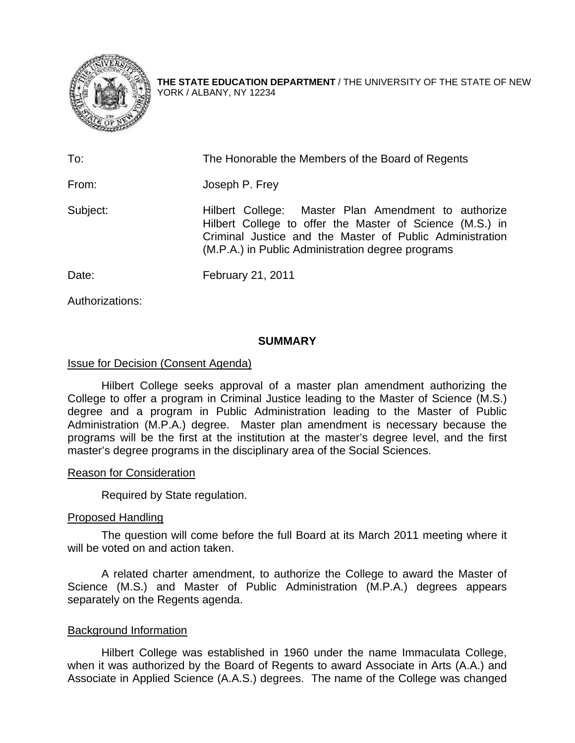

**THE STATE EDUCATION DEPARTMENT** / THE UNIVERSITY OF THE STATE OF NEW YORK / ALBANY, NY 12234

| To:      | The Honorable the Members of the Board of Regents                                                                                                                                                                                |
|----------|----------------------------------------------------------------------------------------------------------------------------------------------------------------------------------------------------------------------------------|
| From:    | Joseph P. Frey                                                                                                                                                                                                                   |
| Subject: | Hilbert College: Master Plan Amendment to authorize<br>Hilbert College to offer the Master of Science (M.S.) in<br>Criminal Justice and the Master of Public Administration<br>(M.P.A.) in Public Administration degree programs |
| Date:    | February 21, 2011                                                                                                                                                                                                                |

Authorizations:

## **SUMMARY**

## Issue for Decision (Consent Agenda)

Hilbert College seeks approval of a master plan amendment authorizing the College to offer a program in Criminal Justice leading to the Master of Science (M.S.) degree and a program in Public Administration leading to the Master of Public Administration (M.P.A.) degree. Master plan amendment is necessary because the programs will be the first at the institution at the master's degree level, and the first master's degree programs in the disciplinary area of the Social Sciences.

#### Reason for Consideration

Required by State regulation.

# Proposed Handling

The question will come before the full Board at its March 2011 meeting where it will be voted on and action taken.

A related charter amendment, to authorize the College to award the Master of Science (M.S.) and Master of Public Administration (M.P.A.) degrees appears separately on the Regents agenda.

# Background Information

Hilbert College was established in 1960 under the name Immaculata College, when it was authorized by the Board of Regents to award Associate in Arts (A.A.) and Associate in Applied Science (A.A.S.) degrees. The name of the College was changed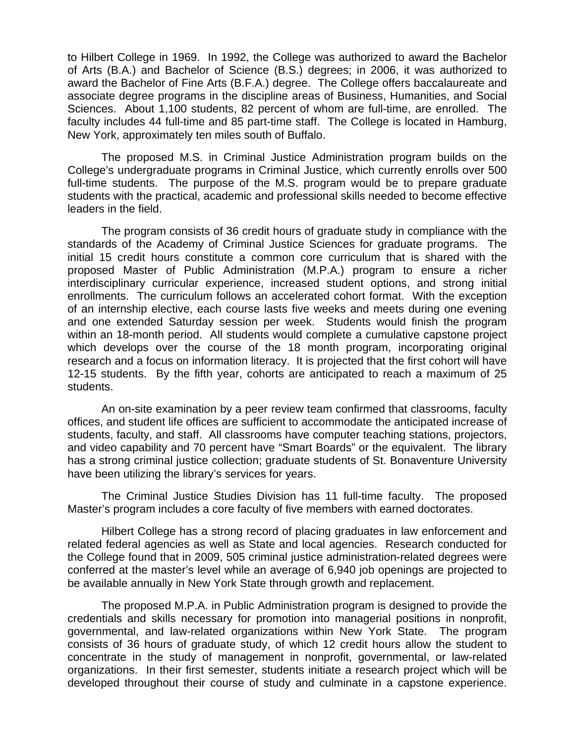to Hilbert College in 1969. In 1992, the College was authorized to award the Bachelor of Arts (B.A.) and Bachelor of Science (B.S.) degrees; in 2006, it was authorized to award the Bachelor of Fine Arts (B.F.A.) degree. The College offers baccalaureate and associate degree programs in the discipline areas of Business, Humanities, and Social Sciences. About 1,100 students, 82 percent of whom are full-time, are enrolled. The faculty includes 44 full-time and 85 part-time staff. The College is located in Hamburg, New York, approximately ten miles south of Buffalo.

 The proposed M.S. in Criminal Justice Administration program builds on the College's undergraduate programs in Criminal Justice, which currently enrolls over 500 full-time students. The purpose of the M.S. program would be to prepare graduate students with the practical, academic and professional skills needed to become effective leaders in the field.

The program consists of 36 credit hours of graduate study in compliance with the standards of the Academy of Criminal Justice Sciences for graduate programs. The initial 15 credit hours constitute a common core curriculum that is shared with the proposed Master of Public Administration (M.P.A.) program to ensure a richer interdisciplinary curricular experience, increased student options, and strong initial enrollments. The curriculum follows an accelerated cohort format. With the exception of an internship elective, each course lasts five weeks and meets during one evening and one extended Saturday session per week. Students would finish the program within an 18-month period. All students would complete a cumulative capstone project which develops over the course of the 18 month program, incorporating original research and a focus on information literacy. It is projected that the first cohort will have 12-15 students. By the fifth year, cohorts are anticipated to reach a maximum of 25 students.

An on-site examination by a peer review team confirmed that classrooms, faculty offices, and student life offices are sufficient to accommodate the anticipated increase of students, faculty, and staff. All classrooms have computer teaching stations, projectors, and video capability and 70 percent have "Smart Boards" or the equivalent. The library has a strong criminal justice collection; graduate students of St. Bonaventure University have been utilizing the library's services for years.

The Criminal Justice Studies Division has 11 full-time faculty. The proposed Master's program includes a core faculty of five members with earned doctorates.

Hilbert College has a strong record of placing graduates in law enforcement and related federal agencies as well as State and local agencies. Research conducted for the College found that in 2009, 505 criminal justice administration-related degrees were conferred at the master's level while an average of 6,940 job openings are projected to be available annually in New York State through growth and replacement.

 The proposed M.P.A. in Public Administration program is designed to provide the credentials and skills necessary for promotion into managerial positions in nonprofit, governmental, and law-related organizations within New York State. The program consists of 36 hours of graduate study, of which 12 credit hours allow the student to concentrate in the study of management in nonprofit, governmental, or law-related organizations. In their first semester, students initiate a research project which will be developed throughout their course of study and culminate in a capstone experience.